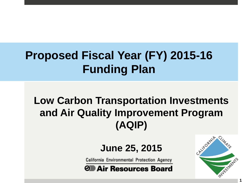### **Proposed Fiscal Year (FY) 2015-16 Funding Plan**

#### **Low Carbon Transportation Investments and Air Quality Improvement Program (AQIP)**

#### **June 25, 2015**

California Environmental Protection Agency

*Θ*≣ Air Resources Board



**1**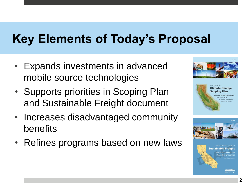# **Key Elements of Today's Proposal**

- Expands investments in advanced mobile source technologies
- Supports priorities in Scoping Plan and Sustainable Freight document
- Increases disadvantaged community benefits
- Refines programs based on new laws

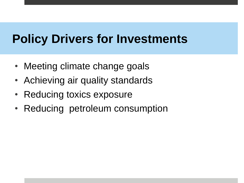#### **Policy Drivers for Investments**

- Meeting climate change goals
- Achieving air quality standards
- Reducing toxics exposure
- Reducing petroleum consumption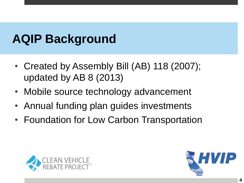## **AQIP Background**

- Created by Assembly Bill (AB) 118 (2007); updated by AB 8 (2013)
- Mobile source technology advancement
- Annual funding plan guides investments
- Foundation for Low Carbon Transportation



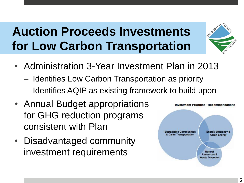## **Auction Proceeds Investments for Low Carbon Transportation**



- Administration 3-Year Investment Plan in 2013
	- Identifies Low Carbon Transportation as priority
	- ‒ Identifies AQIP as existing framework to build upon
- Annual Budget appropriations for GHG reduction programs consistent with Plan
- Disadvantaged community investment requirements

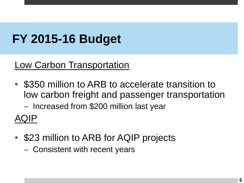## **FY 2015-16 Budget**

#### **Low Carbon Transportation**

• \$350 million to ARB to accelerate transition to low carbon freight and passenger transportation

‒ Increased from \$200 million last year

AQIP

• \$23 million to ARB for AQIP projects ‒ Consistent with recent years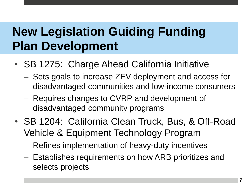## **New Legislation Guiding Funding Plan Development**

- SB 1275: Charge Ahead California Initiative
	- ‒ Sets goals to increase ZEV deployment and access for disadvantaged communities and low-income consumers
	- ‒ Requires changes to CVRP and development of disadvantaged community programs
- SB 1204: California Clean Truck, Bus, & Off-Road Vehicle & Equipment Technology Program
	- ‒ Refines implementation of heavy-duty incentives
	- ‒ Establishes requirements on how ARB prioritizes and selects projects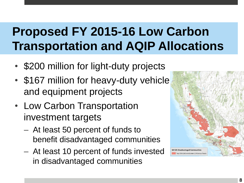## **Proposed FY 2015-16 Low Carbon Transportation and AQIP Allocations**

- \$200 million for light-duty projects
- \$167 million for heavy-duty vehicle and equipment projects
- Low Carbon Transportation investment targets
	- ‒ At least 50 percent of funds to benefit disadvantaged communities
	- ‒ At least 10 percent of funds invested in disadvantaged communities

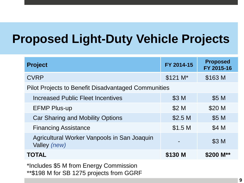#### **Proposed Light-Duty Vehicle Projects**

| <b>Project</b>                                                                     | FY 2014-15         | <b>Proposed</b><br>FY 2015-16 |  |  |  |
|------------------------------------------------------------------------------------|--------------------|-------------------------------|--|--|--|
| <b>CVRP</b>                                                                        | $$121 M*$          | \$163 M                       |  |  |  |
| <b>Pilot Projects to Benefit Disadvantaged Communities</b>                         |                    |                               |  |  |  |
| Increased Public Fleet Incentives                                                  | \$3 M              | \$5 M                         |  |  |  |
| <b>EFMP Plus-up</b>                                                                | \$2 M              | \$20 M                        |  |  |  |
| <b>Car Sharing and Mobility Options</b>                                            | \$2.5 <sub>M</sub> | \$5 M                         |  |  |  |
| <b>Financing Assistance</b>                                                        | \$1.5 <sub>M</sub> | \$4 M                         |  |  |  |
| Agricultural Worker Vanpools in San Joaquin<br>Valley (new)                        |                    | \$3 M                         |  |  |  |
| <b>TOTAL</b>                                                                       | \$130 M            | \$200 M**                     |  |  |  |
| *Includes \$5 M from Energy Commission<br>**\$198 M for SB 1275 projects from GGRF |                    |                               |  |  |  |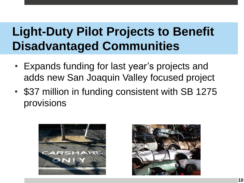## **Light-Duty Pilot Projects to Benefit Disadvantaged Communities**

- Expands funding for last year's projects and adds new San Joaquin Valley focused project
- \$37 million in funding consistent with SB 1275 provisions



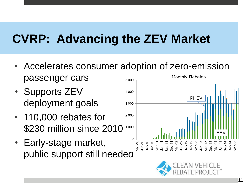## **CVRP: Advancing the ZEV Market**

- Accelerates consumer adoption of zero-emission passenger cars **Monthly Rebates** 5.000
- Supports ZEV deployment goals
- 110,000 rebates for \$230 million since 2010
- Early-stage market, public support still needed



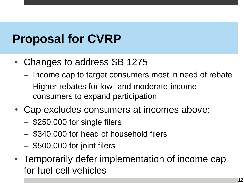## **Proposal for CVRP**

- Changes to address SB 1275
	- ‒ Income cap to target consumers most in need of rebate
	- ‒ Higher rebates for low- and moderate-income consumers to expand participation
- Cap excludes consumers at incomes above:
	- $-$  \$250,000 for single filers
	- ‒ \$340,000 for head of household filers
	- ‒ \$500,000 for joint filers
- Temporarily defer implementation of income cap for fuel cell vehicles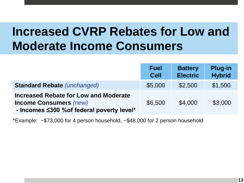### **Increased CVRP Rebates for Low and Moderate Income Consumers**

|                                                                                                                             | <b>Fuel</b><br><b>Cell</b> | <b>Battery</b><br><b>Electric</b> | <b>Plug-in</b><br><b>Hybrid</b> |
|-----------------------------------------------------------------------------------------------------------------------------|----------------------------|-----------------------------------|---------------------------------|
| <b>Standard Rebate (unchanged)</b>                                                                                          | \$5,000                    | \$2,500                           | \$1,500                         |
| <b>Increased Rebate for Low and Moderate</b><br><b>Income Consumers (new)</b><br>- Incomes ≤300 % of federal poverty level* | \$6,500                    | \$4,000                           | \$3,000                         |

\*Example: ~\$73,000 for 4 person household, ~\$48,000 for 2 person household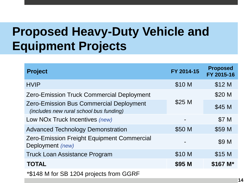# **Proposed Heavy-Duty Vehicle and Equipment Projects**

| <b>Project</b>                                                                            | FY 2014-15 | <b>Proposed</b><br>FY 2015-16 |
|-------------------------------------------------------------------------------------------|------------|-------------------------------|
| <b>HVIP</b>                                                                               | \$10 M     | \$12 M                        |
| <b>Zero-Emission Truck Commercial Deployment</b>                                          |            | \$20 M                        |
| <b>Zero-Emission Bus Commercial Deployment</b><br>(includes new rural school bus funding) | \$25 M     | \$45 M                        |
| Low NOx Truck Incentives (new)                                                            |            | \$7 M                         |
| <b>Advanced Technology Demonstration</b>                                                  | \$50 M     | \$59 M                        |
| <b>Zero-Emission Freight Equipment Commercial</b><br>Deployment (new)                     |            | \$9 M                         |
| <b>Truck Loan Assistance Program</b>                                                      | \$10 M     | \$15 M                        |
| <b>TOTAL</b>                                                                              | \$95 M     | \$167 M*                      |
| *\$148 M for SB 1204 projects from GGRF                                                   |            |                               |

**14**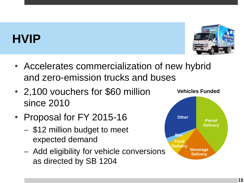### **HVIP**



- Accelerates commercialization of new hybrid and zero-emission trucks and buses
- 2,100 vouchers for \$60 million since 2010
- Proposal for FY 2015-16
	- ‒ \$12 million budget to meet expected demand
	- Add eligibility for vehicle conversions as directed by SB 1204

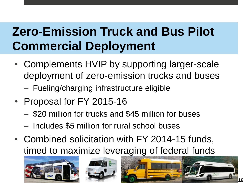# **Zero-Emission Truck and Bus Pilot Commercial Deployment**

- Complements HVIP by supporting larger-scale deployment of zero-emission trucks and buses
	- ‒ Fueling/charging infrastructure eligible
- Proposal for FY 2015-16
	- ‒ \$20 million for trucks and \$45 million for buses
	- ‒ Includes \$5 million for rural school buses
- Combined solicitation with FY 2014-15 funds, timed to maximize leveraging of federal funds





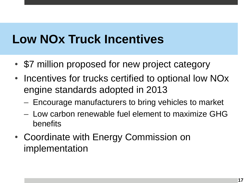## **Low NOx Truck Incentives**

- \$7 million proposed for new project category
- Incentives for trucks certified to optional low NOx engine standards adopted in 2013
	- ‒ Encourage manufacturers to bring vehicles to market
	- ‒ Low carbon renewable fuel element to maximize GHG benefits
- Coordinate with Energy Commission on implementation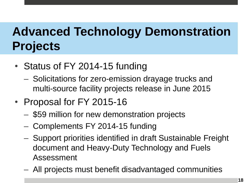# **Advanced Technology Demonstration Projects**

- Status of FY 2014-15 funding
	- ‒ Solicitations for zero-emission drayage trucks and multi-source facility projects release in June 2015
- Proposal for FY 2015-16
	- ‒ \$59 million for new demonstration projects
	- ‒ Complements FY 2014-15 funding
	- ‒ Support priorities identified in draft Sustainable Freight document and Heavy-Duty Technology and Fuels Assessment
	- ‒ All projects must benefit disadvantaged communities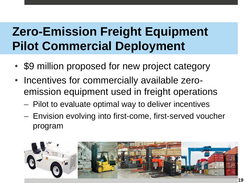## **Zero-Emission Freight Equipment Pilot Commercial Deployment**

- \$9 million proposed for new project category
- Incentives for commercially available zeroemission equipment used in freight operations
	- ‒ Pilot to evaluate optimal way to deliver incentives
	- ‒ Envision evolving into first-come, first-served voucher program

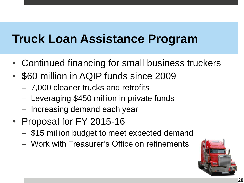#### **Truck Loan Assistance Program**

- Continued financing for small business truckers
- \$60 million in AQIP funds since 2009
	- ‒ 7,000 cleaner trucks and retrofits
	- ‒ Leveraging \$450 million in private funds
	- Increasing demand each year
- Proposal for FY 2015-16
	- \$15 million budget to meet expected demand
	- ‒ Work with Treasurer's Office on refinements

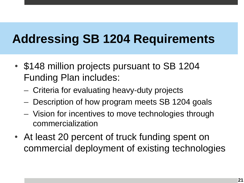## **Addressing SB 1204 Requirements**

- \$148 million projects pursuant to SB 1204 Funding Plan includes:
	- ‒ Criteria for evaluating heavy-duty projects
	- Description of how program meets SB 1204 goals
	- ‒ Vision for incentives to move technologies through commercialization
- At least 20 percent of truck funding spent on commercial deployment of existing technologies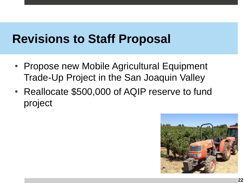#### **Revisions to Staff Proposal**

- Propose new Mobile Agricultural Equipment Trade-Up Project in the San Joaquin Valley
- Reallocate \$500,000 of AQIP reserve to fund project

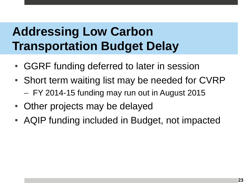# **Addressing Low Carbon Transportation Budget Delay**

- GGRF funding deferred to later in session
- Short term waiting list may be needed for CVRP - FY 2014-15 funding may run out in August 2015
- Other projects may be delayed
- AQIP funding included in Budget, not impacted